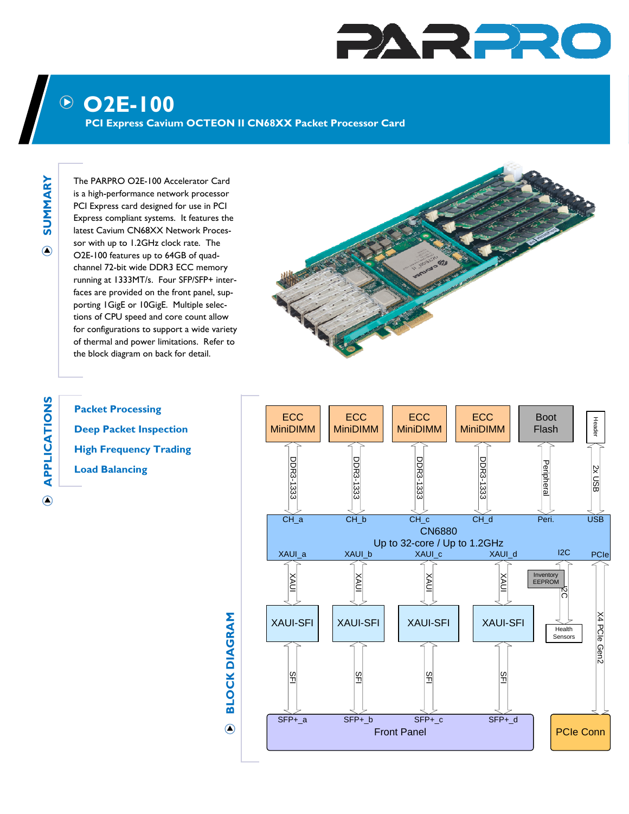## PARPRO

## **O2E-100**

**PCI Express Cavium OCTEON II CN68XX Packet Processor Card** 

**SUMMARY SUMMARY**  $\bigcirc$ 

The PARPRO O2E-100 Accelerator Card is a high-performance network processor PCI Express card designed for use in PCI Express compliant systems. It features the latest Cavium CN68XX Network Processor with up to 1.2GHz clock rate. The O2E-100 features up to 64GB of quadchannel 72-bit wide DDR3 ECC memory running at 1333MT/s. Four SFP/SFP+ interfaces are provided on the front panel, supporting 1GigE or 10GigE. Multiple selections of CPU speed and core count allow for configurations to support a wide variety of thermal and power limitations. Refer to the block diagram on back for detail.



**Packet Processing Deep Packet Inspection High Frequency Trading Load Balancing**